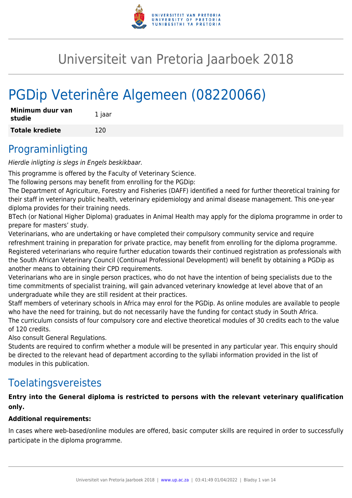

# Universiteit van Pretoria Jaarboek 2018

# PGDip Veterinêre Algemeen (08220066)

| Minimum duur van<br>studie | 1 jaar |
|----------------------------|--------|
| <b>Totale krediete</b>     | 120    |

## Programinligting

Hierdie inligting is slegs in Engels beskikbaar.

This programme is offered by the Faculty of Veterinary Science.

The following persons may benefit from enrolling for the PGDip:

The Department of Agriculture, Forestry and Fisheries (DAFF) identified a need for further theoretical training for their staff in veterinary public health, veterinary epidemiology and animal disease management. This one-year diploma provides for their training needs.

BTech (or National Higher Diploma) graduates in Animal Health may apply for the diploma programme in order to prepare for masters' study.

Veterinarians, who are undertaking or have completed their compulsory community service and require refreshment training in preparation for private practice, may benefit from enrolling for the diploma programme. Registered veterinarians who require further education towards their continued registration as professionals with the South African Veterinary Council (Continual Professional Development) will benefit by obtaining a PGDip as another means to obtaining their CPD requirements.

Veterinarians who are in single person practices, who do not have the intention of being specialists due to the time commitments of specialist training, will gain advanced veterinary knowledge at level above that of an undergraduate while they are still resident at their practices.

Staff members of veterinary schools in Africa may enrol for the PGDip. As online modules are available to people who have the need for training, but do not necessarily have the funding for contact study in South Africa. The curriculum consists of four compulsory core and elective theoretical modules of 30 credits each to the value of 120 credits.

Also consult General Regulations.

Students are required to confirm whether a module will be presented in any particular year. This enquiry should be directed to the relevant head of department according to the syllabi information provided in the list of modules in this publication.

## Toelatingsvereistes

## **Entry into the General diploma is restricted to persons with the relevant veterinary qualification only.**

## **Additional requirements:**

In cases where web-based/online modules are offered, basic computer skills are required in order to successfully participate in the diploma programme.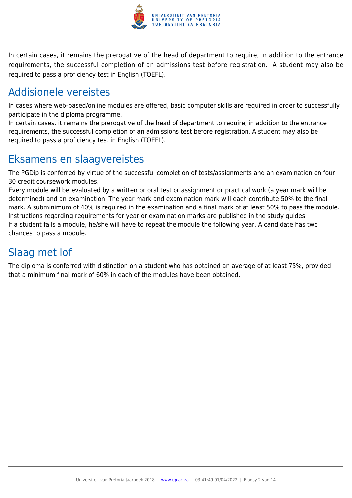

In certain cases, it remains the prerogative of the head of department to require, in addition to the entrance requirements, the successful completion of an admissions test before registration. A student may also be required to pass a proficiency test in English (TOEFL).

## Addisionele vereistes

In cases where web-based/online modules are offered, basic computer skills are required in order to successfully participate in the diploma programme.

In certain cases, it remains the prerogative of the head of department to require, in addition to the entrance requirements, the successful completion of an admissions test before registration. A student may also be required to pass a proficiency test in English (TOEFL).

## Eksamens en slaagvereistes

The PGDip is conferred by virtue of the successful completion of tests/assignments and an examination on four 30 credit coursework modules.

Every module will be evaluated by a written or oral test or assignment or practical work (a year mark will be determined) and an examination. The year mark and examination mark will each contribute 50% to the final mark. A subminimum of 40% is required in the examination and a final mark of at least 50% to pass the module. Instructions regarding requirements for year or examination marks are published in the study guides. If a student fails a module, he/she will have to repeat the module the following year. A candidate has two chances to pass a module.

## Slaag met lof

The diploma is conferred with distinction on a student who has obtained an average of at least 75%, provided that a minimum final mark of 60% in each of the modules have been obtained.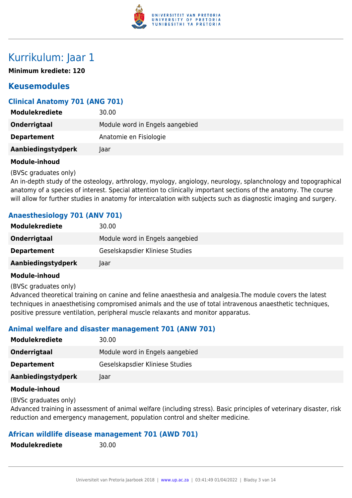

## Kurrikulum: Jaar 1

**Minimum krediete: 120**

## **Keusemodules**

## **Clinical Anatomy 701 (ANG 701)**

| <b>Modulekrediete</b> | 30.00                           |
|-----------------------|---------------------------------|
| Onderrigtaal          | Module word in Engels aangebied |
| <b>Departement</b>    | Anatomie en Fisiologie          |
| Aanbiedingstydperk    | Jaar                            |

#### **Module-inhoud**

(BVSc graduates only)

An in-depth study of the osteology, arthrology, myology, angiology, neurology, splanchnology and topographical anatomy of a species of interest. Special attention to clinically important sections of the anatomy. The course will allow for further studies in anatomy for intercalation with subjects such as diagnostic imaging and surgery.

## **Anaesthesiology 701 (ANV 701)**

| <b>Modulekrediete</b> | 30.00                           |
|-----------------------|---------------------------------|
| Onderrigtaal          | Module word in Engels aangebied |
| <b>Departement</b>    | Geselskapsdier Kliniese Studies |
| Aanbiedingstydperk    | Jaar                            |

#### **Module-inhoud**

(BVSc graduates only)

Advanced theoretical training on canine and feline anaesthesia and analgesia.The module covers the latest techniques in anaesthetising compromised animals and the use of total intravenous anaesthetic techniques, positive pressure ventilation, peripheral muscle relaxants and monitor apparatus.

## **Animal welfare and disaster management 701 (ANW 701)**

| <b>Modulekrediete</b> | 30.00                           |
|-----------------------|---------------------------------|
| Onderrigtaal          | Module word in Engels aangebied |
| <b>Departement</b>    | Geselskapsdier Kliniese Studies |
| Aanbiedingstydperk    | laar                            |
|                       |                                 |

### **Module-inhoud**

(BVSc graduates only)

Advanced training in assessment of animal welfare (including stress). Basic principles of veterinary disaster, risk reduction and emergency management, population control and shelter medicine.

#### **African wildlife disease management 701 (AWD 701)**

**Modulekrediete** 30.00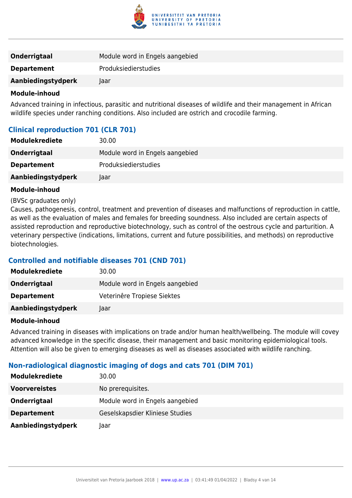

| <b>Onderrigtaal</b> | Module word in Engels aangebied |
|---------------------|---------------------------------|
| <b>Departement</b>  | <b>Produksiedierstudies</b>     |
| Aanbiedingstydperk  | Taar                            |
|                     |                                 |

Advanced training in infectious, parasitic and nutritional diseases of wildlife and their management in African wildlife species under ranching conditions. Also included are ostrich and crocodile farming.

## **Clinical reproduction 701 (CLR 701)**

| <b>Modulekrediete</b> | 30.00                           |
|-----------------------|---------------------------------|
| Onderrigtaal          | Module word in Engels aangebied |
| <b>Departement</b>    | Produksiedierstudies            |
| Aanbiedingstydperk    | laar                            |

#### **Module-inhoud**

#### (BVSc graduates only)

Causes, pathogenesis, control, treatment and prevention of diseases and malfunctions of reproduction in cattle, as well as the evaluation of males and females for breeding soundness. Also included are certain aspects of assisted reproduction and reproductive biotechnology, such as control of the oestrous cycle and parturition. A veterinary perspective (indications, limitations, current and future possibilities, and methods) on reproductive biotechnologies.

## **Controlled and notifiable diseases 701 (CND 701)**

| <b>Modulekrediete</b> | 30.00                           |
|-----------------------|---------------------------------|
| Onderrigtaal          | Module word in Engels aangebied |
| <b>Departement</b>    | Veterinêre Tropiese Siektes     |
| Aanbiedingstydperk    | laar.                           |

#### **Module-inhoud**

Advanced training in diseases with implications on trade and/or human health/wellbeing. The module will covey advanced knowledge in the specific disease, their management and basic monitoring epidemiological tools. Attention will also be given to emerging diseases as well as diseases associated with wildlife ranching.

## **Non-radiological diagnostic imaging of dogs and cats 701 (DIM 701)**

| <b>Modulekrediete</b> | 30.00                           |
|-----------------------|---------------------------------|
| <b>Voorvereistes</b>  | No prerequisites.               |
| Onderrigtaal          | Module word in Engels aangebied |
| <b>Departement</b>    | Geselskapsdier Kliniese Studies |
| Aanbiedingstydperk    | laar                            |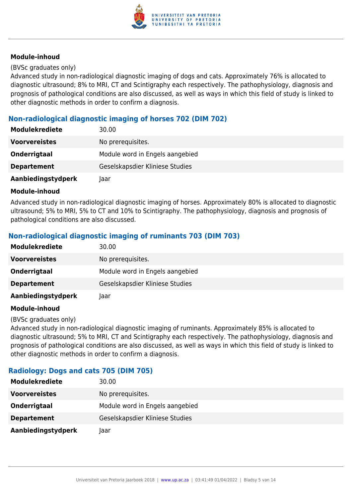

#### (BVSc graduates only)

Advanced study in non-radiological diagnostic imaging of dogs and cats. Approximately 76% is allocated to diagnostic ultrasound; 8% to MRI, CT and Scintigraphy each respectively. The pathophysiology, diagnosis and prognosis of pathological conditions are also discussed, as well as ways in which this field of study is linked to other diagnostic methods in order to confirm a diagnosis.

## **Non-radiological diagnostic imaging of horses 702 (DIM 702)**

| <b>Modulekrediete</b> | 30.00                           |
|-----------------------|---------------------------------|
| <b>Voorvereistes</b>  | No prerequisites.               |
| Onderrigtaal          | Module word in Engels aangebied |
| <b>Departement</b>    | Geselskapsdier Kliniese Studies |
| Aanbiedingstydperk    | Jaar                            |

#### **Module-inhoud**

Advanced study in non-radiological diagnostic imaging of horses. Approximately 80% is allocated to diagnostic ultrasound; 5% to MRI, 5% to CT and 10% to Scintigraphy. The pathophysiology, diagnosis and prognosis of pathological conditions are also discussed.

## **Non-radiological diagnostic imaging of ruminants 703 (DIM 703)**

| <b>Modulekrediete</b> | 30.00                           |
|-----------------------|---------------------------------|
| <b>Voorvereistes</b>  | No prerequisites.               |
| Onderrigtaal          | Module word in Engels aangebied |
| <b>Departement</b>    | Geselskapsdier Kliniese Studies |
| Aanbiedingstydperk    | Jaar                            |

#### **Module-inhoud**

#### (BVSc graduates only)

Advanced study in non-radiological diagnostic imaging of ruminants. Approximately 85% is allocated to diagnostic ultrasound; 5% to MRI, CT and Scintigraphy each respectively. The pathophysiology, diagnosis and prognosis of pathological conditions are also discussed, as well as ways in which this field of study is linked to other diagnostic methods in order to confirm a diagnosis.

#### **Radiology: Dogs and cats 705 (DIM 705)**

| <b>Modulekrediete</b> | 30.00                           |
|-----------------------|---------------------------------|
| <b>Voorvereistes</b>  | No prerequisites.               |
| Onderrigtaal          | Module word in Engels aangebied |
| <b>Departement</b>    | Geselskapsdier Kliniese Studies |
| Aanbiedingstydperk    | Taar                            |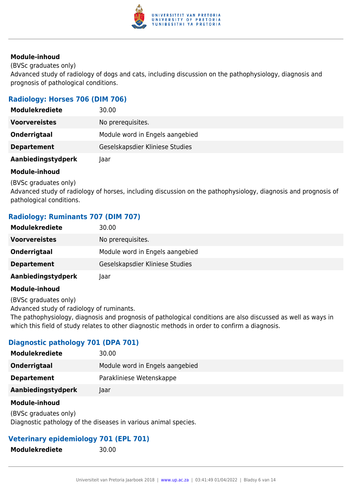

(BVSc graduates only)

Advanced study of radiology of dogs and cats, including discussion on the pathophysiology, diagnosis and prognosis of pathological conditions.

## **Radiology: Horses 706 (DIM 706)**

| <b>Modulekrediete</b> | 30.00                           |
|-----------------------|---------------------------------|
| <b>Voorvereistes</b>  | No prerequisites.               |
| Onderrigtaal          | Module word in Engels aangebied |
| <b>Departement</b>    | Geselskapsdier Kliniese Studies |
| Aanbiedingstydperk    | laar                            |

### **Module-inhoud**

(BVSc graduates only)

Advanced study of radiology of horses, including discussion on the pathophysiology, diagnosis and prognosis of pathological conditions.

## **Radiology: Ruminants 707 (DIM 707)**

| <b>Modulekrediete</b> | 30.00                           |
|-----------------------|---------------------------------|
| <b>Voorvereistes</b>  | No prerequisites.               |
| Onderrigtaal          | Module word in Engels aangebied |
| <b>Departement</b>    | Geselskapsdier Kliniese Studies |
| Aanbiedingstydperk    | laar                            |

#### **Module-inhoud**

(BVSc graduates only)

Advanced study of radiology of ruminants.

The pathophysiology, diagnosis and prognosis of pathological conditions are also discussed as well as ways in which this field of study relates to other diagnostic methods in order to confirm a diagnosis.

## **Diagnostic pathology 701 (DPA 701)**

| <b>Modulekrediete</b> | 30.00                           |
|-----------------------|---------------------------------|
| Onderrigtaal          | Module word in Engels aangebied |
| <b>Departement</b>    | Parakliniese Wetenskappe        |
| Aanbiedingstydperk    | laar                            |
| Module-inhoud         |                                 |

(BVSc graduates only) Diagnostic pathology of the diseases in various animal species.

## **Veterinary epidemiology 701 (EPL 701)**

**Modulekrediete** 30.00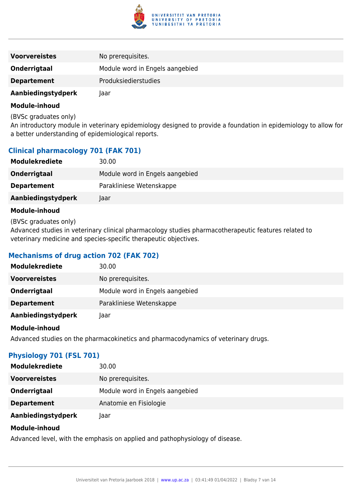

| <b>Voorvereistes</b> | No prerequisites.               |
|----------------------|---------------------------------|
| Onderrigtaal         | Module word in Engels aangebied |
| <b>Departement</b>   | <b>Produksiedierstudies</b>     |
| Aanbiedingstydperk   | Jaar                            |

(BVSc graduates only)

An introductory module in veterinary epidemiology designed to provide a foundation in epidemiology to allow for a better understanding of epidemiological reports.

### **Clinical pharmacology 701 (FAK 701)**

| <b>Modulekrediete</b> | 30.00                           |
|-----------------------|---------------------------------|
| Onderrigtaal          | Module word in Engels aangebied |
| <b>Departement</b>    | Parakliniese Wetenskappe        |
| Aanbiedingstydperk    | Taar                            |

#### **Module-inhoud**

(BVSc graduates only)

Advanced studies in veterinary clinical pharmacology studies pharmacotherapeutic features related to veterinary medicine and species-specific therapeutic objectives.

## **Mechanisms of drug action 702 (FAK 702)**

| <b>Modulekrediete</b> | 30.00                           |
|-----------------------|---------------------------------|
| <b>Voorvereistes</b>  | No prerequisites.               |
| Onderrigtaal          | Module word in Engels aangebied |
| <b>Departement</b>    | Parakliniese Wetenskappe        |
| Aanbiedingstydperk    | Jaar                            |

#### **Module-inhoud**

Advanced studies on the pharmacokinetics and pharmacodynamics of veterinary drugs.

## **Physiology 701 (FSL 701)**

| <b>Modulekrediete</b> | 30.00                           |
|-----------------------|---------------------------------|
| <b>Voorvereistes</b>  | No prerequisites.               |
| Onderrigtaal          | Module word in Engels aangebied |
| <b>Departement</b>    | Anatomie en Fisiologie          |
| Aanbiedingstydperk    | laar                            |

#### **Module-inhoud**

Advanced level, with the emphasis on applied and pathophysiology of disease.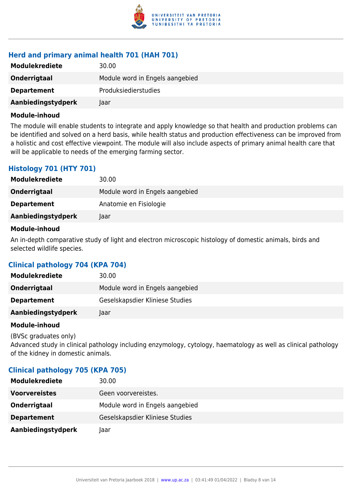

## **Herd and primary animal health 701 (HAH 701)**

| <b>Modulekrediete</b> | 30.00                           |
|-----------------------|---------------------------------|
| Onderrigtaal          | Module word in Engels aangebied |
| <b>Departement</b>    | <b>Produksiedierstudies</b>     |
| Aanbiedingstydperk    | laar                            |

#### **Module-inhoud**

The module will enable students to integrate and apply knowledge so that health and production problems can be identified and solved on a herd basis, while health status and production effectiveness can be improved from a holistic and cost effective viewpoint. The module will also include aspects of primary animal health care that will be applicable to needs of the emerging farming sector.

## **Histology 701 (HTY 701)**

| <b>Modulekrediete</b> | 30.00                           |
|-----------------------|---------------------------------|
| Onderrigtaal          | Module word in Engels aangebied |
| <b>Departement</b>    | Anatomie en Fisiologie          |
| Aanbiedingstydperk    | Jaar                            |

#### **Module-inhoud**

An in-depth comparative study of light and electron microscopic histology of domestic animals, birds and selected wildlife species.

## **Clinical pathology 704 (KPA 704)**

| <b>Modulekrediete</b> | 30.00                           |
|-----------------------|---------------------------------|
| Onderrigtaal          | Module word in Engels aangebied |
| <b>Departement</b>    | Geselskapsdier Kliniese Studies |
| Aanbiedingstydperk    | laar                            |

#### **Module-inhoud**

(BVSc graduates only) Advanced study in clinical pathology including enzymology, cytology, haematology as well as clinical pathology of the kidney in domestic animals.

## **Clinical pathology 705 (KPA 705)**

| <b>Modulekrediete</b> | 30.00                           |
|-----------------------|---------------------------------|
| <b>Voorvereistes</b>  | Geen voorvereistes.             |
| Onderrigtaal          | Module word in Engels aangebied |
| <b>Departement</b>    | Geselskapsdier Kliniese Studies |
| Aanbiedingstydperk    | Jaar                            |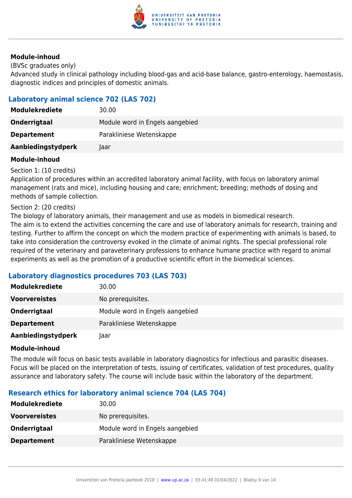

(BVSc graduates only)

Advanced study in clinical pathology including blood-gas and acid-base balance, gastro-enterology, haemostasis, diagnostic indices and principles of domestic animals.

## **Laboratory animal science 702 (LAS 702)**

| <b>Modulekrediete</b> | 30.00                           |
|-----------------------|---------------------------------|
| Onderrigtaal          | Module word in Engels aangebied |
| <b>Departement</b>    | Parakliniese Wetenskappe        |
| Aanbiedingstydperk    | Taar                            |

#### **Module-inhoud**

Section 1: (10 credits)

Application of procedures within an accredited laboratory animal facility, with focus on laboratory animal management (rats and mice), including housing and care; enrichment; breeding; methods of dosing and methods of sample collection.

#### Section 2: (20 credits)

The biology of laboratory animals, their management and use as models in biomedical research. The aim is to extend the activities concerning the care and use of laboratory animals for research, training and testing. Further to affirm the concept on which the modern practice of experimenting with animals is based, to take into consideration the controversy evoked in the climate of animal rights. The special professional role required of the veterinary and paraveterinary professions to enhance humane practice with regard to animal experiments as well as the promotion of a productive scientific effort in the biomedical sciences.

## **Laboratory diagnostics procedures 703 (LAS 703)**

| Modulekrediete       | 30.00                           |
|----------------------|---------------------------------|
| <b>Voorvereistes</b> | No prerequisites.               |
| Onderrigtaal         | Module word in Engels aangebied |
| <b>Departement</b>   | Parakliniese Wetenskappe        |
| Aanbiedingstydperk   | laar                            |

#### **Module-inhoud**

The module will focus on basic tests available in laboratory diagnostics for infectious and parasitic diseases. Focus will be placed on the interpretation of tests, issuing of certificates, validation of test procedures, quality assurance and laboratory safety. The course will include basic within the laboratory of the department.

## **Research ethics for laboratory animal science 704 (LAS 704)**

| <b>Modulekrediete</b> | 30.00                           |
|-----------------------|---------------------------------|
| <b>Voorvereistes</b>  | No prerequisites.               |
| Onderrigtaal          | Module word in Engels aangebied |
| <b>Departement</b>    | Parakliniese Wetenskappe        |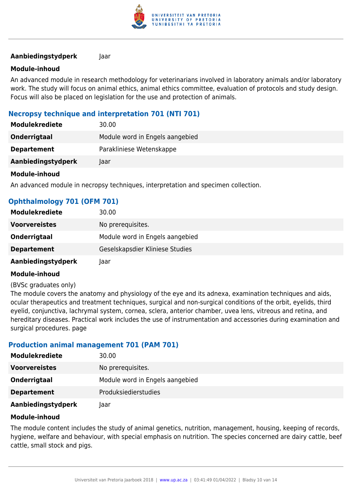

#### **Aanbiedingstydperk** Jaar

#### **Module-inhoud**

An advanced module in research methodology for veterinarians involved in laboratory animals and/or laboratory work. The study will focus on animal ethics, animal ethics committee, evaluation of protocols and study design. Focus will also be placed on legislation for the use and protection of animals.

### **Necropsy technique and interpretation 701 (NTI 701)**

| <b>Modulekrediete</b> | 30.00                           |
|-----------------------|---------------------------------|
| Onderrigtaal          | Module word in Engels aangebied |
| <b>Departement</b>    | Parakliniese Wetenskappe        |
| Aanbiedingstydperk    | laar                            |
|                       |                                 |

#### **Module-inhoud**

An advanced module in necropsy techniques, interpretation and specimen collection.

| Ophthalmology 701 (OFM 701) |                                 |
|-----------------------------|---------------------------------|
| <b>Modulekrediete</b>       | 30.00                           |
| <b>Voorvereistes</b>        | No prerequisites.               |
| Onderrigtaal                | Module word in Engels aangebied |
| <b>Departement</b>          | Geselskapsdier Kliniese Studies |
| Aanbiedingstydperk          | laar                            |

#### **Module-inhoud**

#### (BVSc graduates only)

The module covers the anatomy and physiology of the eye and its adnexa, examination techniques and aids, ocular therapeutics and treatment techniques, surgical and non-surgical conditions of the orbit, eyelids, third eyelid, conjunctiva, lachrymal system, cornea, sclera, anterior chamber, uvea lens, vitreous and retina, and hereditary diseases. Practical work includes the use of instrumentation and accessories during examination and surgical procedures. page

#### **Production animal management 701 (PAM 701)**

| <b>Modulekrediete</b> | 30.00                           |
|-----------------------|---------------------------------|
| <b>Voorvereistes</b>  | No prerequisites.               |
| Onderrigtaal          | Module word in Engels aangebied |
| <b>Departement</b>    | Produksiedierstudies            |
| Aanbiedingstydperk    | laar                            |

#### **Module-inhoud**

The module content includes the study of animal genetics, nutrition, management, housing, keeping of records, hygiene, welfare and behaviour, with special emphasis on nutrition. The species concerned are dairy cattle, beef cattle, small stock and pigs.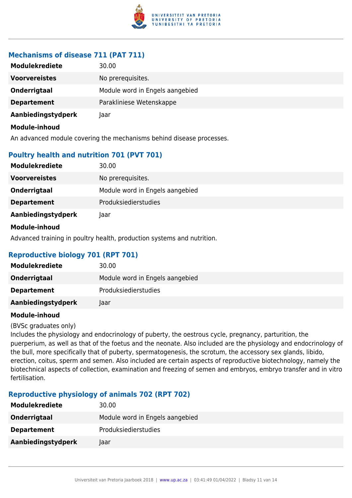

## **Mechanisms of disease 711 (PAT 711)**

| <b>Modulekrediete</b> | 30.00                           |
|-----------------------|---------------------------------|
| <b>Voorvereistes</b>  | No prerequisites.               |
| Onderrigtaal          | Module word in Engels aangebied |
| <b>Departement</b>    | Parakliniese Wetenskappe        |
| Aanbiedingstydperk    | Taar                            |
| Module-inhoud         |                                 |

An advanced module covering the mechanisms behind disease processes.

## **Poultry health and nutrition 701 (PVT 701)**

| <b>Modulekrediete</b> | 30.00                           |
|-----------------------|---------------------------------|
| <b>Voorvereistes</b>  | No prerequisites.               |
| Onderrigtaal          | Module word in Engels aangebied |
| <b>Departement</b>    | Produksiedierstudies            |
| Aanbiedingstydperk    | Jaar                            |
| Module-inhoud         |                                 |

Advanced training in poultry health, production systems and nutrition.

## **Reproductive biology 701 (RPT 701)**

| <b>Modulekrediete</b> | 30.00                           |
|-----------------------|---------------------------------|
| Onderrigtaal          | Module word in Engels aangebied |
| <b>Departement</b>    | <b>Produksiedierstudies</b>     |
| Aanbiedingstydperk    | Jaar                            |

## **Module-inhoud**

(BVSc graduates only)

Includes the physiology and endocrinology of puberty, the oestrous cycle, pregnancy, parturition, the puerperium, as well as that of the foetus and the neonate. Also included are the physiology and endocrinology of the bull, more specifically that of puberty, spermatogenesis, the scrotum, the accessory sex glands, libido, erection, coitus, sperm and semen. Also included are certain aspects of reproductive biotechnology, namely the biotechnical aspects of collection, examination and freezing of semen and embryos, embryo transfer and in vitro fertilisation.

## **Reproductive physiology of animals 702 (RPT 702)**

| <b>Modulekrediete</b> | 30.00                           |
|-----------------------|---------------------------------|
| Onderrigtaal          | Module word in Engels aangebied |
| <b>Departement</b>    | <b>Produksiedierstudies</b>     |
| Aanbiedingstydperk    | laar.                           |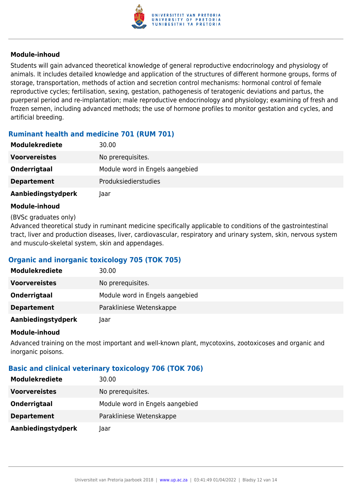

Students will gain advanced theoretical knowledge of general reproductive endocrinology and physiology of animals. It includes detailed knowledge and application of the structures of different hormone groups, forms of storage, transportation, methods of action and secretion control mechanisms: hormonal control of female reproductive cycles; fertilisation, sexing, gestation, pathogenesis of teratogenic deviations and partus, the puerperal period and re-implantation; male reproductive endocrinology and physiology; examining of fresh and frozen semen, including advanced methods; the use of hormone profiles to monitor gestation and cycles, and artificial breeding.

## **Ruminant health and medicine 701 (RUM 701)**

| <b>Modulekrediete</b> | 30.00                           |
|-----------------------|---------------------------------|
| <b>Voorvereistes</b>  | No prerequisites.               |
| Onderrigtaal          | Module word in Engels aangebied |
| <b>Departement</b>    | <b>Produksiedierstudies</b>     |
| Aanbiedingstydperk    | Jaar                            |

#### **Module-inhoud**

#### (BVSc graduates only)

Advanced theoretical study in ruminant medicine specifically applicable to conditions of the gastrointestinal tract, liver and production diseases, liver, cardiovascular, respiratory and urinary system, skin, nervous system and musculo-skeletal system, skin and appendages.

## **Organic and inorganic toxicology 705 (TOK 705)**

| <b>Modulekrediete</b> | 30.00                           |
|-----------------------|---------------------------------|
| <b>Voorvereistes</b>  | No prerequisites.               |
| Onderrigtaal          | Module word in Engels aangebied |
| <b>Departement</b>    | Parakliniese Wetenskappe        |
| Aanbiedingstydperk    | laar                            |

#### **Module-inhoud**

Advanced training on the most important and well-known plant, mycotoxins, zootoxicoses and organic and inorganic poisons.

## **Basic and clinical veterinary toxicology 706 (TOK 706)**

| <b>Modulekrediete</b> | 30.00                           |
|-----------------------|---------------------------------|
| <b>Voorvereistes</b>  | No prerequisites.               |
| Onderrigtaal          | Module word in Engels aangebied |
| <b>Departement</b>    | Parakliniese Wetenskappe        |
| Aanbiedingstydperk    | Jaar                            |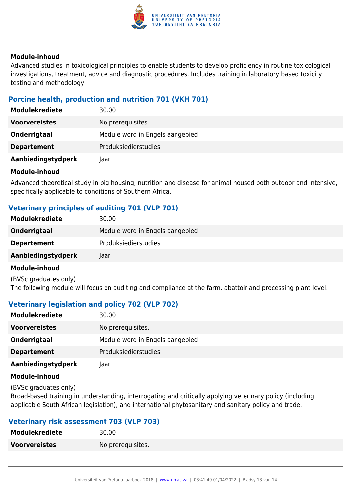

Advanced studies in toxicological principles to enable students to develop proficiency in routine toxicological investigations, treatment, advice and diagnostic procedures. Includes training in laboratory based toxicity testing and methodology

## **Porcine health, production and nutrition 701 (VKH 701)**

| <b>Modulekrediete</b> | 30.00                           |
|-----------------------|---------------------------------|
| <b>Voorvereistes</b>  | No prerequisites.               |
| Onderrigtaal          | Module word in Engels aangebied |
| <b>Departement</b>    | Produksiedierstudies            |
| Aanbiedingstydperk    | Jaar                            |

#### **Module-inhoud**

Advanced theoretical study in pig housing, nutrition and disease for animal housed both outdoor and intensive, specifically applicable to conditions of Southern Africa.

## **Veterinary principles of auditing 701 (VLP 701)**

| <b>Modulekrediete</b> | 30.00                           |
|-----------------------|---------------------------------|
| Onderrigtaal          | Module word in Engels aangebied |
| <b>Departement</b>    | <b>Produksiedierstudies</b>     |
| Aanbiedingstydperk    | laar                            |
|                       |                                 |

#### **Module-inhoud**

(BVSc graduates only) The following module will focus on auditing and compliance at the farm, abattoir and processing plant level.

## **Veterinary legislation and policy 702 (VLP 702)**

| <b>Modulekrediete</b> | 30.00                           |
|-----------------------|---------------------------------|
| <b>Voorvereistes</b>  | No prerequisites.               |
| Onderrigtaal          | Module word in Engels aangebied |
| <b>Departement</b>    | Produksiedierstudies            |
| Aanbiedingstydperk    | laar                            |

#### **Module-inhoud**

(BVSc graduates only)

Broad-based training in understanding, interrogating and critically applying veterinary policy (including applicable South African legislation), and international phytosanitary and sanitary policy and trade.

## **Veterinary risk assessment 703 (VLP 703)**

| <b>Modulekrediete</b> | 30.00             |
|-----------------------|-------------------|
| <b>Voorvereistes</b>  | No prerequisites. |